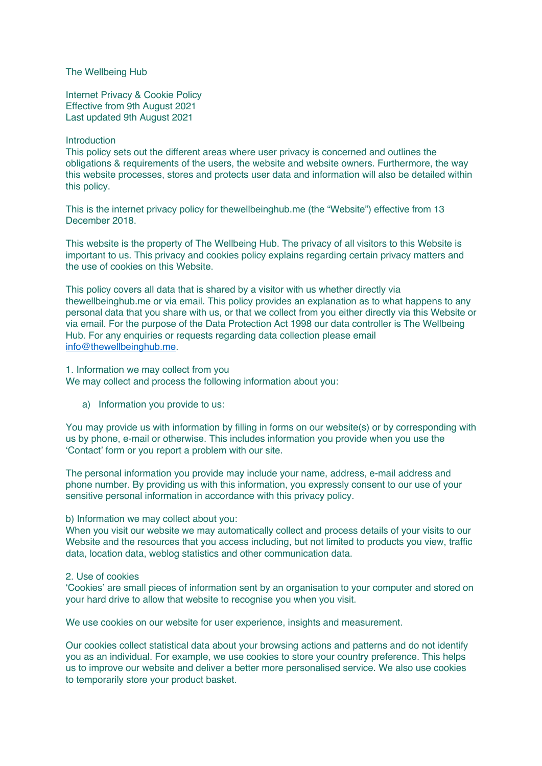The Wellbeing Hub

Internet Privacy & Cookie Policy Effective from 9th August 2021 Last updated 9th August 2021

#### Introduction

This policy sets out the different areas where user privacy is concerned and outlines the obligations & requirements of the users, the website and website owners. Furthermore, the way this website processes, stores and protects user data and information will also be detailed within this policy.

This is the internet privacy policy for thewellbeinghub.me (the "Website") effective from 13 December 2018.

This website is the property of The Wellbeing Hub. The privacy of all visitors to this Website is important to us. This privacy and cookies policy explains regarding certain privacy matters and the use of cookies on this Website.

This policy covers all data that is shared by a visitor with us whether directly via thewellbeinghub.me or via email. This policy provides an explanation as to what happens to any personal data that you share with us, or that we collect from you either directly via this Website or via email. For the purpose of the Data Protection Act 1998 our data controller is The Wellbeing Hub. For any enquiries or requests regarding data collection please email info@thewellbeinghub.me.

1. Information we may collect from you We may collect and process the following information about you:

a) Information you provide to us:

You may provide us with information by filling in forms on our website(s) or by corresponding with us by phone, e-mail or otherwise. This includes information you provide when you use the 'Contact' form or you report a problem with our site.

The personal information you provide may include your name, address, e-mail address and phone number. By providing us with this information, you expressly consent to our use of your sensitive personal information in accordance with this privacy policy.

#### b) Information we may collect about you:

When you visit our website we may automatically collect and process details of your visits to our Website and the resources that you access including, but not limited to products you view, traffic data, location data, weblog statistics and other communication data.

#### 2. Use of cookies

'Cookies' are small pieces of information sent by an organisation to your computer and stored on your hard drive to allow that website to recognise you when you visit.

We use cookies on our website for user experience, insights and measurement.

Our cookies collect statistical data about your browsing actions and patterns and do not identify you as an individual. For example, we use cookies to store your country preference. This helps us to improve our website and deliver a better more personalised service. We also use cookies to temporarily store your product basket.